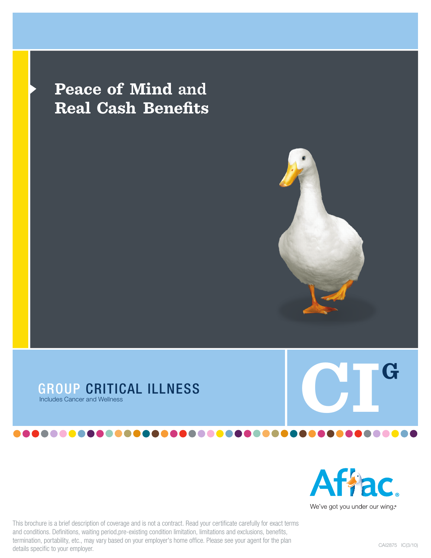# **Peace of Mind and Real Cash Benefits**





This brochure is a brief description of coverage and is not a contract. Read your certificate carefully for exact terms and conditions. Definitions, waiting period,pre-existing condition limitation, limitations and exclusions, benefits, termination, portability, etc., may vary based on your employer's home office. Please see your agent for the plan details specific to your employer.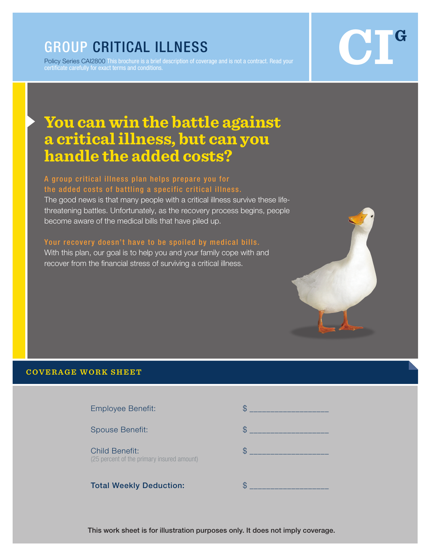# GROUP CRITICAL ILLNESS

Policy Series CAI2800 This brochure is a brief description of coverage and is not a contract. Read your certificate carefully for exact terms and conditions.



# **You can win the battle against a critical illness, but can you handle the added costs?**

### A group critical illness plan helps prepare you for the added costs of battling a specific critical illness.

The good news is that many people with a critical illness survive these lifethreatening battles. Unfortunately, as the recovery process begins, people become aware of the medical bills that have piled up.

### Your recovery doesn't have to be spoiled by medical bills.

With this plan, our goal is to help you and your family cope with and recover from the financial stress of surviving a critical illness.



Employee Benefit: \$ \_\_\_\_\_\_\_\_\_\_\_\_\_\_\_\_\_\_\_ Spouse Benefit:  $\qquad \qquad$  \$ \_\_\_\_\_ Child Benefit:  $\qquad \qquad \bullet$ (25 percent of the primary insured amount) Total Weekly Deduction:  $\qquad \qquad \$ 

This work sheet is for illustration purposes only. It does not imply coverage.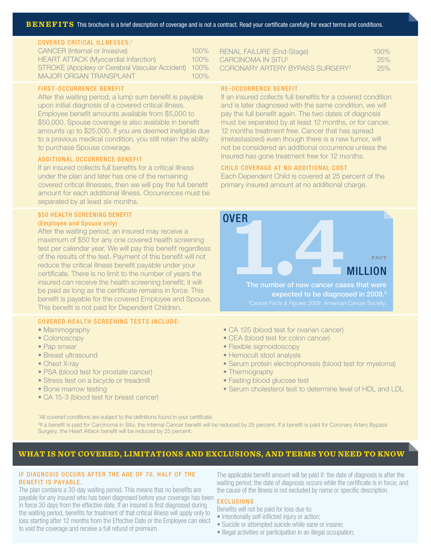### COVERED CRITICAL ILLNESSES:<sup>1</sup>

| <b>CANCER (Internal or Invasive)</b>                 | $100\%$ |
|------------------------------------------------------|---------|
| <b>HEART ATTACK (Myocardial Infarction)</b>          | 100%    |
| STROKE (Apoplexy or Cerebral Vascular Accident) 100% |         |
| <b>MAJOR ORGAN TRANSPLANT</b>                        | $100\%$ |

### FIRST-OCCURRENCE BENEFIT

After the waiting period, a lump sum benefit is payable upon initial diagnosis of a covered critical illness. Employee benefit amounts available from \$5,000 to \$50,000. Spouse coverage is also available in benefit amounts up to \$25,000. If you are deemed ineligible due to a previous medical condition, you still retain the ability to purchase Spouse coverage.

### ADDITIONAL OCCURRENCE BENEFIT

If an insured collects full benefits for a critical illness under the plan and later has one of the remaining covered critical illnesses, then we will pay the full benefit amount for each additional illness. Occurrences must be separated by at least six months.

### **\$50 HEALTH SCREENING BENEFIT**

### (Employee and Spouse only)

After the waiting period, an insured may receive a maximum of \$50 for any one covered health screening test per calendar year. We will pay this benefit regardless of the results of the test. Payment of this benefit will not reduce the critical illness benefit payable under your certificate. There is no limit to the number of years the insured can receive the health screening benefit; it will be paid as long as the certificate remains in force. This benefit is payable for the covered Employee and Spouse. This benefit is not paid for Dependent Children.

### COVERED HEALTH SCREENING TESTS INCLUDE:

- Mammography
- Colonoscopy
- Pap smear
- Breast ultrasound
- Chest X-ray
- PSA (blood test for prostate cancer)
- Stress test on a bicycle or treadmill
- Bone marrow testing
- CA 15-3 (blood test for breast cancer)

| <b>RENAL FAILURE (End-Stage)</b>            | $100\%$ |
|---------------------------------------------|---------|
| CARCINOMA IN SITU <sup>2</sup>              | 25%     |
| CORONARY ARTERY BYPASS SURGERY <sup>2</sup> | 25%     |

### RE-OCCURRENCE BENEFIT

If an insured collects full benefits for a covered condition and is later diagnosed with the same condition, we will pay the full benefit again. The two dates of diagnosis must be separated by at least 12 months, or for cancer, 12 months treatment free. Cancer that has spread (metastasized) even though there is a new tumor, will not be considered an additional occurrence unless the Insured has gone treatment free for 12 months.

### CHILD COVERAGE AT NO ADDITIONAL COST

Each Dependent Child is covered at 25 percent of the primary insured amount at no additional charge.



- CA 125 (blood test for ovarian cancer)
- CEA (blood test for colon cancer)
- Flexible sigmoidoscopy
- Hemocult stool analysis
- Serum protein electrophoresis (blood test for myeloma)
- Thermography
- Fasting blood glucose test
- Serum cholesterol test to determine level of HDL and LDL

<sup>1</sup>All covered conditions are subject to the definitions found in your certificate. 2 If a benefit is paid for Carcinoma in Situ, the Internal Cancer benefit will be reduced by 25 percent. If a benefit is paid for Coronary Artery Bypass Surgery, the Heart Attack benefit will be reduced by 25 percent.

### **WHAT IS NOT COVERED, LIMITATIONS AND EXCLUSIONS, AND TERMS YOU NEED TO KNOW**

### IF DIAGNOSIS OCCURS AFTER THE AGE OF 70, HALF OF THE BENEFIT IS PAYABLE.

The plan contains a 30-day waiting period. This means that no benefits are payable for any insured who has been diagnosed before your coverage has been in force 30 days from the effective date. If an insured is first diagnosed during the waiting period, benefits for treatment of that critical illness will apply only to loss starting after 12 months from the Effective Date or the Employee can elect to void the coverage and receive a full refund of premium.

The applicable benefit amount will be paid if: the date of diagnosis is after the waiting period; the date of diagnosis occurs while the certificate is in force; and the cause of the illness is not excluded by name or specific description.

### EXCLUSIONS

Benefits will not be paid for loss due to:

- Intentionally self-inflicted injury or action;
- Suicide or attempted suicide while sane or insane;
- Illegal activities or participation in an illegal occupation;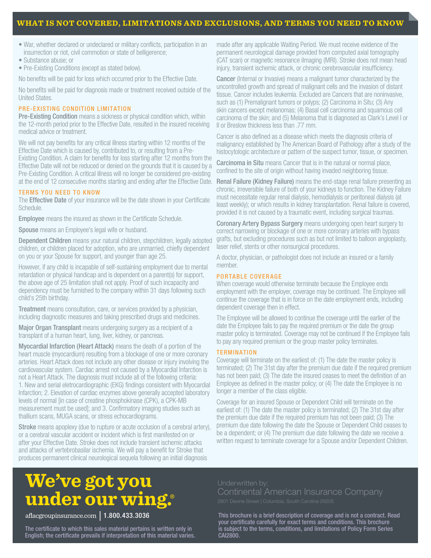### **WHAT IS NOT COVERED, LIMITATIONS AND EXCLUSIONS, AND TERMS YOU NEED TO KNOW**

- War, whether declared or undeclared or military conflicts, participation in an insurrection or riot, civil commotion or state of belligerence;
- Substance abuse; or
- Pre-Existing Conditions (except as stated below).

No benefits will be paid for loss which occurred prior to the Effective Date.

No benefits will be paid for diagnosis made or treatment received outside of the United States.

### PRE-EXISTING CONDITION LIMITATION

Pre-Existing Condition means a sickness or physical condition which, within the 12-month period prior to the Effective Date, resulted in the insured receiving medical advice or treatment.

We will not pay benefits for any critical illness starting within 12 months of the Effective Date which is caused by, contributed to, or resulting from a Pre-

Existing Condition. A claim for benefits for loss starting after 12 months from the Effective Date will not be reduced or denied on the grounds that it is caused by a Pre-Existing Condition. A critical illness will no longer be considered pre-existing at the end of 12 consecutive months starting and ending after the Effective Date.

### TERMS YOU NEED TO KNOW

The **Effective Date** of your insurance will be the date shown in your Certificate Schedule.

**Employee** means the insured as shown in the Certificate Schedule.

Spouse means an Employee's legal wife or husband.

Dependent Children means your natural children, stepchildren, legally adopted children, or children placed for adoption, who are unmarried, chiefly dependent on you or your Spouse for support, and younger than age 25.

However, if any child is incapable of self-sustaining employment due to mental retardation or physical handicap and is dependent on a parent(s) for support, the above age of 25 limitation shall not apply. Proof of such incapacity and dependency must be furnished to the company within 31 days following such child's 25th birthday.

Treatment means consultation, care, or services provided by a physician, including diagnostic measures and taking prescribed drugs and medicines.

Major Organ Transplant means undergoing surgery as a recipient of a transplant of a human heart, lung, liver, kidney, or pancreas.

Myocardial Infarction (Heart Attack) means the death of a portion of the heart muscle (myocardium) resulting from a blockage of one or more coronary arteries. Heart Attack does not include any other disease or injury involving the cardiovascular system. Cardiac arrest not caused by a Myocardial Infarction is not a Heart Attack. The diagnosis must include all of the following criteria: 1. New and serial eletrocardiographic (EKG) findings consistent with Myocardial Infarction; 2. Elevation of cardiac enzymes above generally accepted laboratory levels of normal [in case of creatine phosphokinase (CPK), a CPK-MB measurement must be used]; and 3. Confirmatory imaging studies such as thallium scans, MUGA scans, or stress echocardiograms.

**Stroke** means apoplexy (due to rupture or acute occlusion of a cerebral artery), or a cerebral vascular accident or incident which is first manifested on or after your Effective Date. Stroke does not include transient ischemic attacks and attacks of vertebrobasilar ischemia. We will pay a benefit for Stroke that produces permanent clinical neurological sequela following an initial diagnosis

made after any applicable Waiting Period. We must receive evidence of the permanent neurological damage provided from computed axial tomography (CAT scan) or magnetic resonance iImaging (MRI). Stroke does not mean head injury, transient ischemic attack, or chronic cerebrovascular insufficiency.

**Cancer** (Internal or Invasive) means a malignant tumor characterized by the uncontrolled growth and spread of malignant cells and the invasion of distant tissue. Cancer includes leukemia. Excluded are Cancers that are noninvasive, such as (1) Premalignant tumors or polyps; (2) Carcinoma in Situ; (3) Any skin cancers except melanomas; (4) Basal cell carcinoma and squamous cell carcinoma of the skin; and (5) Melanoma that is diagnosed as Clark's Level I or II or Breslow thickness less than .77 mm.

Cancer is also defined as a disease which meets the diagnosis criteria of malignancy established by The American Board of Pathology after a study of the histocytologic architecture or pattern of the suspect tumor, tissue, or specimen.

Carcinoma in Situ means Cancer that is in the natural or normal place, confined to the site of origin without having invaded neighboring tissue.

Renal Failure (Kidney Failure) means the end-stage renal failure presenting as chronic, irreversible failure of both of your kidneys to function. The Kidney Failure must necessitate regular renal dialysis, hemodialysis or peritoneal dialysis (at least weekly); or which results in kidney transplantation. Renal failure is covered, provided it is not caused by a traumatic event, including surgical traumas.

Coronary Artery Bypass Surgery means undergoing open heart surgery to correct narrowing or blockage of one or more coronary arteries with bypass grafts, but excluding procedures such as but not limited to balloon angioplasty, laser relief, stents or other nonsurgical procedures.

A doctor, physician, or pathologist does not include an insured or a family member.

### PORTABLE COVERAGE

When coverage would otherwise terminate because the Employee ends employment with the employer, coverage may be continued. The Employee will continue the coverage that is in force on the date employment ends, including dependent coverage then in effect.

The Employee will be allowed to continue the coverage until the earlier of the date the Employee fails to pay the required premium or the date the group master policy is terminated. Coverage may not be continued if the Employee fails to pay any required premium or the group master policy terminates.

### **TERMINATION**

Coverage will terminate on the earliest of: (1) The date the master policy is terminated; (2) The 31st day after the premium due date if the required premium has not been paid; (3) The date the insured ceases to meet the definition of an Employee as defined in the master policy; or (4) The date the Employee is no longer a member of the class eligible.

Coverage for an insured Spouse or Dependent Child will terminate on the earliest of: (1) The date the master policy is terminated; (2) The 31st day after the premium due date if the required premium has not been paid; (3) The premium due date following the date the Spouse or Dependent Child ceases to be a dependent; or (4) The premium due date following the date we receive a written request to terminate coverage for a Spouse and/or Dependent Children.

# **We've got you under our wing.**®

aflacgroupinsurance.com1.800.433.3036

The certificate to which this sales material pertains is written only in English; the certificate prevails if interpretation of this material varies.

This brochure is a brief description of coverage and is not a contract. Read your certificate carefully for exact terms and conditions. This brochure is subject to the terms, conditions, and limitations of Policy Form Series CAI2800.